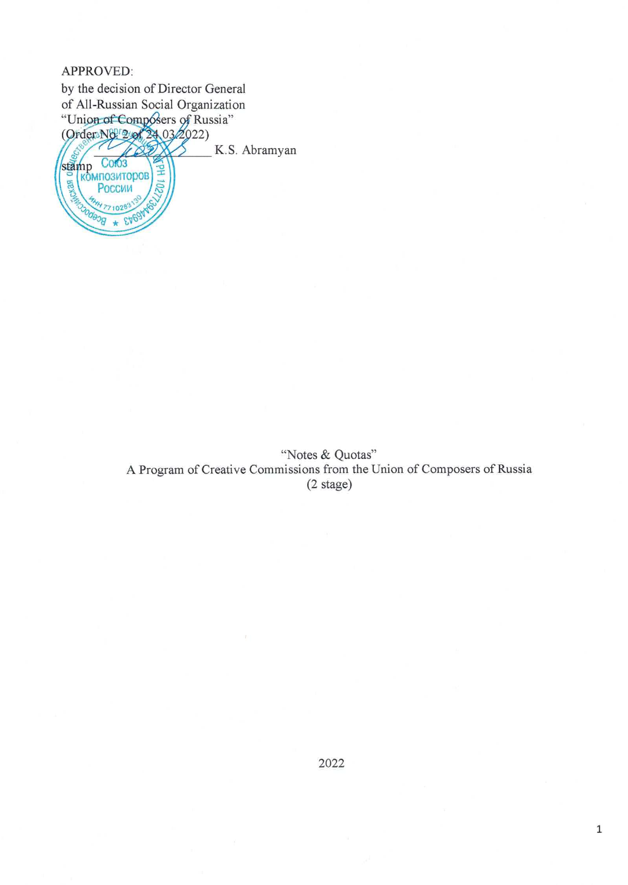## APPROVED:

by the decision of Director General of All-Russian Social Organization "Union of Composers of Russia"<br>(Order No. 22022022) K.S. Abramyan stamp композиторов 86 России 771028

> "Notes & Quotas" A Program of Creative Commissions from the Union of Composers of Russia  $(2 \text{ stage})$

 $\mathbf 1$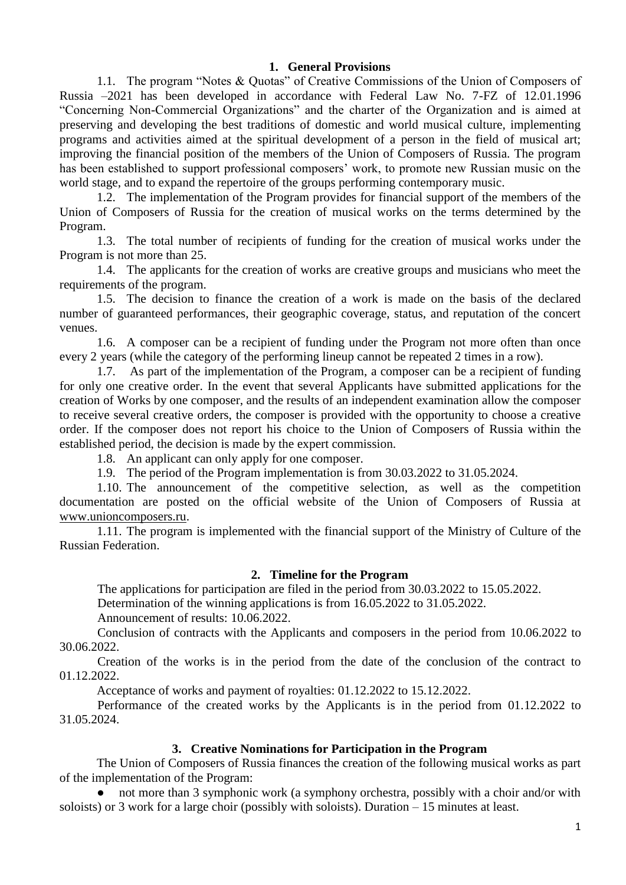### **1. General Provisions**

1.1. The program "Notes & Quotas" of Creative Commissions of the Union of Composers of Russia –2021 has been developed in accordance with Federal Law No. 7-FZ of 12.01.1996 "Concerning Non-Commercial Organizations" and the charter of the Organization and is aimed at preserving and developing the best traditions of domestic and world musical culture, implementing programs and activities aimed at the spiritual development of a person in the field of musical art; improving the financial position of the members of the Union of Composers of Russia. The program has been established to support professional composers' work, to promote new Russian music on the world stage, and to expand the repertoire of the groups performing contemporary music.

1.2. The implementation of the Program provides for financial support of the members of the Union of Composers of Russia for the creation of musical works on the terms determined by the Program.

1.3. The total number of recipients of funding for the creation of musical works under the Program is not more than 25.

1.4. The applicants for the creation of works are creative groups and musicians who meet the requirements of the program.

1.5. The decision to finance the creation of a work is made on the basis of the declared number of guaranteed performances, their geographic coverage, status, and reputation of the concert venues.

1.6. A composer can be a recipient of funding under the Program not more often than once every 2 years (while the category of the performing lineup cannot be repeated 2 times in a row).

1.7. As part of the implementation of the Program, a composer can be a recipient of funding for only one creative order. In the event that several Applicants have submitted applications for the creation of Works by one composer, and the results of an independent examination allow the composer to receive several creative orders, the composer is provided with the opportunity to choose a creative order. If the composer does not report his choice to the Union of Composers of Russia within the established period, the decision is made by the expert commission.

1.8. An applicant can only apply for one composer.

1.9. The period of the Program implementation is from 30.03.2022 to 31.05.2024.

1.10. The announcement of the competitive selection, as well as the competition documentation are posted on the official website of the Union of Composers of Russia at [www.unioncomposers.ru.](http://www.unioncomposers.ru/)

1.11. The program is implemented with the financial support of the Ministry of Culture of the Russian Federation.

#### **2. Timeline for the Program**

The applications for participation are filed in the period from 30.03.2022 to 15.05.2022.

Determination of the winning applications is from 16.05.2022 to 31.05.2022.

Announcement of results: 10.06.2022.

Conclusion of contracts with the Applicants and composers in the period from 10.06.2022 to 30.06.2022.

Creation of the works is in the period from the date of the conclusion of the contract to 01.12.2022.

Acceptance of works and payment of royalties: 01.12.2022 to 15.12.2022.

Performance of the created works by the Applicants is in the period from 01.12.2022 to 31.05.2024.

#### **3. Creative Nominations for Participation in the Program**

The Union of Composers of Russia finances the creation of the following musical works as part of the implementation of the Program:

not more than 3 symphonic work (a symphony orchestra, possibly with a choir and/or with soloists) or 3 work for a large choir (possibly with soloists). Duration – 15 minutes at least.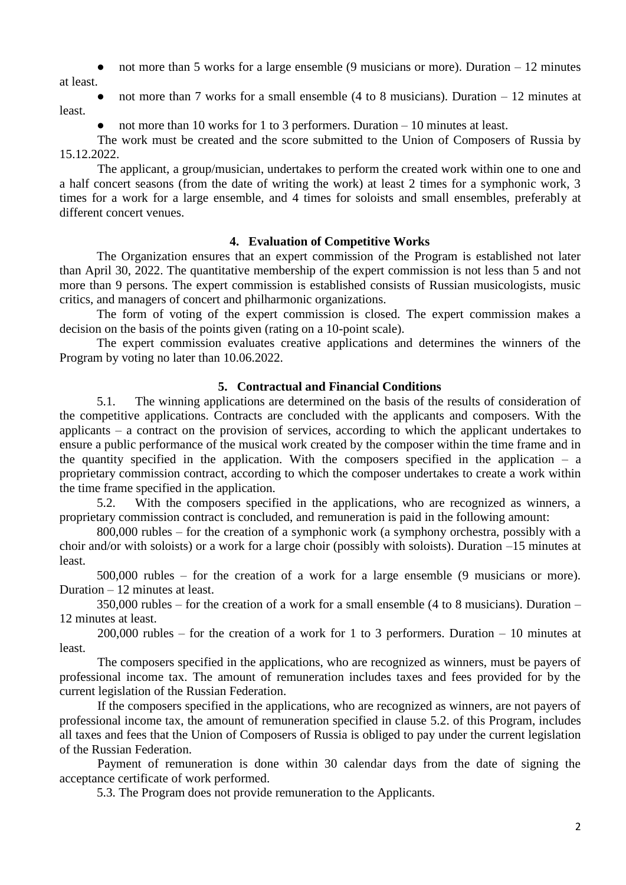not more than 5 works for a large ensemble (9 musicians or more). Duration  $-12$  minutes

at least.

not more than 7 works for a small ensemble (4 to 8 musicians). Duration  $-12$  minutes at least.

not more than 10 works for 1 to 3 performers. Duration  $-10$  minutes at least.

The work must be created and the score submitted to the Union of Composers of Russia by 15.12.2022.

The applicant, a group/musician, undertakes to perform the created work within one to one and a half concert seasons (from the date of writing the work) at least 2 times for a symphonic work, 3 times for a work for a large ensemble, and 4 times for soloists and small ensembles, preferably at different concert venues.

# **4. Evaluation of Competitive Works**

The Organization ensures that an expert commission of the Program is established not later than April 30, 2022. The quantitative membership of the expert commission is not less than 5 and not more than 9 persons. The expert commission is established consists of Russian musicologists, music critics, and managers of concert and philharmonic organizations.

The form of voting of the expert commission is closed. The expert commission makes a decision on the basis of the points given (rating on a 10-point scale).

The expert commission evaluates creative applications and determines the winners of the Program by voting no later than 10.06.2022.

# **5. Contractual and Financial Conditions**

5.1. The winning applications are determined on the basis of the results of consideration of the competitive applications. Contracts are concluded with the applicants and composers. With the applicants – a contract on the provision of services, according to which the applicant undertakes to ensure a public performance of the musical work created by the composer within the time frame and in the quantity specified in the application. With the composers specified in the application  $-$  a proprietary commission contract, according to which the composer undertakes to create a work within the time frame specified in the application.

5.2. With the composers specified in the applications, who are recognized as winners, a proprietary commission contract is concluded, and remuneration is paid in the following amount:

800,000 rubles – for the creation of a symphonic work (a symphony orchestra, possibly with a choir and/or with soloists) or a work for a large choir (possibly with soloists). Duration –15 minutes at least.

500,000 rubles – for the creation of a work for a large ensemble (9 musicians or more). Duration – 12 minutes at least.

350,000 rubles – for the creation of a work for a small ensemble (4 to 8 musicians). Duration – 12 minutes at least.

200,000 rubles – for the creation of a work for 1 to 3 performers. Duration – 10 minutes at least.

The composers specified in the applications, who are recognized as winners, must be payers of professional income tax. The amount of remuneration includes taxes and fees provided for by the current legislation of the Russian Federation.

If the composers specified in the applications, who are recognized as winners, are not payers of professional income tax, the amount of remuneration specified in clause 5.2. of this Program, includes all taxes and fees that the Union of Composers of Russia is obliged to pay under the current legislation of the Russian Federation.

Payment of remuneration is done within 30 calendar days from the date of signing the acceptance certificate of work performed.

5.3. The Program does not provide remuneration to the Applicants.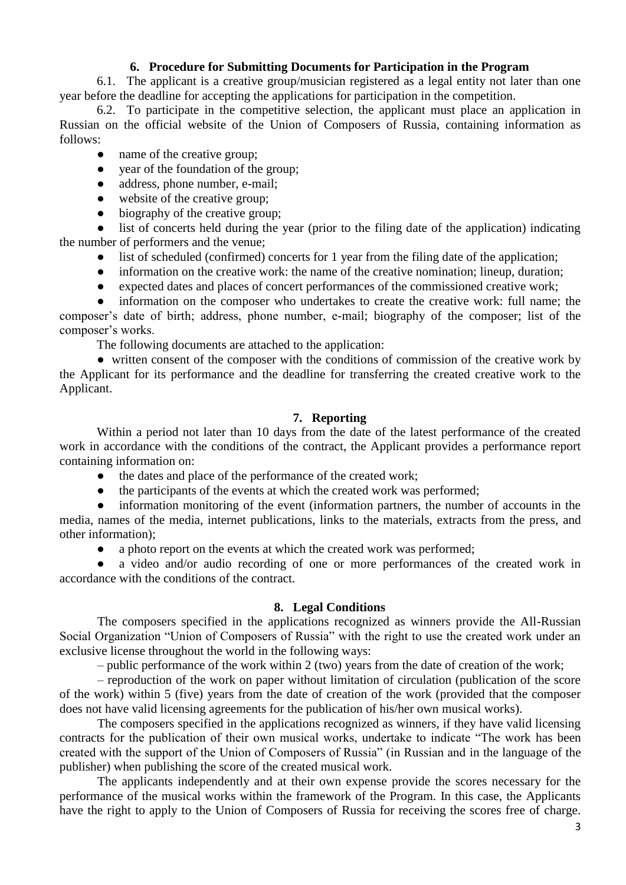### **6. Procedure for Submitting Documents for Participation in the Program**

6.1. The applicant is a creative group/musician registered as a legal entity not later than one year before the deadline for accepting the applications for participation in the competition.

6.2. To participate in the competitive selection, the applicant must place an application in Russian on the official website of the Union of Composers of Russia, containing information as follows:

- name of the creative group;
- year of the foundation of the group;
- address, phone number, e-mail;
- website of the creative group;
- biography of the creative group;

list of concerts held during the year (prior to the filing date of the application) indicating the number of performers and the venue;

- list of scheduled (confirmed) concerts for 1 year from the filing date of the application;
- information on the creative work: the name of the creative nomination; lineup, duration;
- expected dates and places of concert performances of the commissioned creative work;

information on the composer who undertakes to create the creative work: full name; the composer's date of birth; address, phone number, e-mail; biography of the composer; list of the composer's works.

The following documents are attached to the application:

• written consent of the composer with the conditions of commission of the creative work by the Applicant for its performance and the deadline for transferring the created creative work to the Applicant.

## **7. Reporting**

Within a period not later than 10 days from the date of the latest performance of the created work in accordance with the conditions of the contract, the Applicant provides a performance report containing information on:

- the dates and place of the performance of the created work;
- the participants of the events at which the created work was performed;

information monitoring of the event (information partners, the number of accounts in the media, names of the media, internet publications, links to the materials, extracts from the press, and other information);

a photo report on the events at which the created work was performed;

a video and/or audio recording of one or more performances of the created work in accordance with the conditions of the contract.

### **8. Legal Conditions**

The composers specified in the applications recognized as winners provide the All-Russian Social Organization "Union of Composers of Russia" with the right to use the created work under an exclusive license throughout the world in the following ways:

– public performance of the work within 2 (two) years from the date of creation of the work;

– reproduction of the work on paper without limitation of circulation (publication of the score of the work) within 5 (five) years from the date of creation of the work (provided that the composer does not have valid licensing agreements for the publication of his/her own musical works).

The composers specified in the applications recognized as winners, if they have valid licensing contracts for the publication of their own musical works, undertake to indicate "The work has been created with the support of the Union of Composers of Russia" (in Russian and in the language of the publisher) when publishing the score of the created musical work.

The applicants independently and at their own expense provide the scores necessary for the performance of the musical works within the framework of the Program. In this case, the Applicants have the right to apply to the Union of Composers of Russia for receiving the scores free of charge.